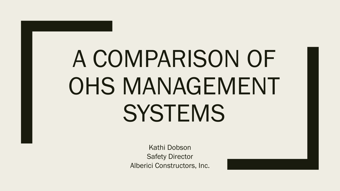# A COMPARISON OF OHS MANAGEMENT **SYSTEMS**

Kathi Dobson Safety Director Alberici Constructors, Inc.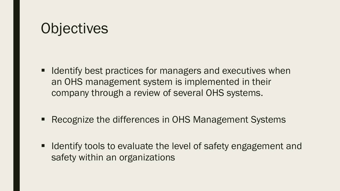# **Objectives**

- Identify best practices for managers and executives when an OHS management system is implemented in their company through a review of several OHS systems.
- Recognize the differences in OHS Management Systems
- Identify tools to evaluate the level of safety engagement and safety within an organizations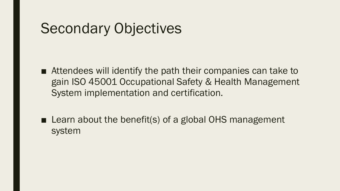# Secondary Objectives

- Attendees will identify the path their companies can take to gain ISO 45001 Occupational Safety & Health Management System implementation and certification.
- Learn about the benefit(s) of a global OHS management system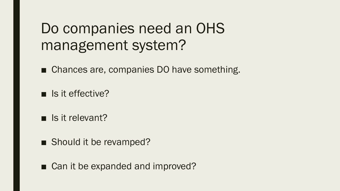# Do companies need an OHS management system?

■ Chances are, companies DO have something.

■ Is it effective?

■ Is it relevant?

■ Should it be revamped?

■ Can it be expanded and improved?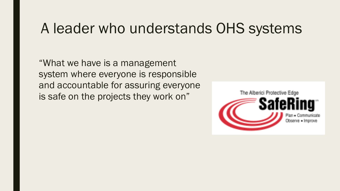#### A leader who understands OHS systems

"What we have is a management system where everyone is responsible and accountable for assuring everyone is safe on the projects they work on"

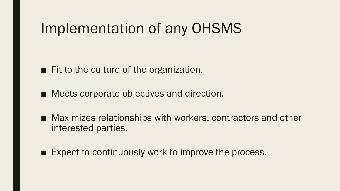# Implementation of any OHSMS

■ Fit to the culture of the organization.

■ Meets corporate objectives and direction.

- Maximizes relationships with workers, contractors and other interested parties.
- Expect to continuously work to improve the process.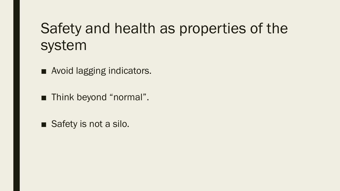# Safety and health as properties of the system

■ Avoid lagging indicators.

■ Think beyond "normal".

■ Safety is not a silo.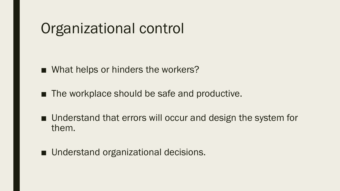# Organizational control

■ What helps or hinders the workers?

■ The workplace should be safe and productive.

■ Understand that errors will occur and design the system for them.

■ Understand organizational decisions.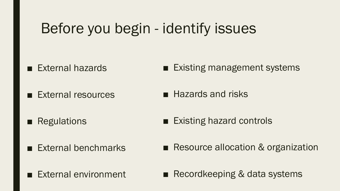# Before you begin - identify issues

■ External hazards

■ Existing management systems

■ External resources

- Hazards and risks
- Regulations ■ Existing hazard controls
- External benchmarks

■ Resource allocation & organization

■ External environment

■ Recordkeeping & data systems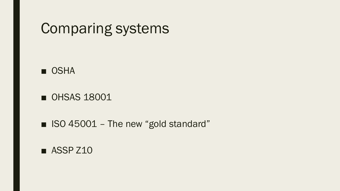#### Comparing systems

#### ■ OSHA

■ OHSAS 18001

■ ISO 45001 – The new "gold standard"

■ ASSP Z10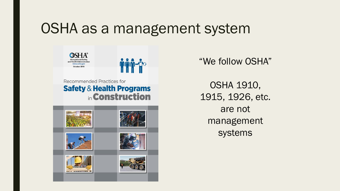#### OSHA as a management system





Recommended Practices for **Safety & Health Programs** in Construction



"We follow OSHA"

OSHA 1910, 1915, 1926, etc. are not management systems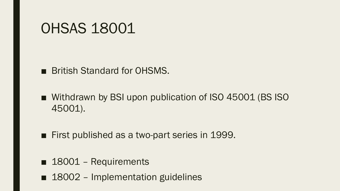#### OHSAS 18001

■ British Standard for OHSMS.

■ Withdrawn by BSI upon publication of ISO 45001 (BS ISO 45001).

■ First published as a two-part series in 1999.

- 18001 Requirements
- 18002 Implementation guidelines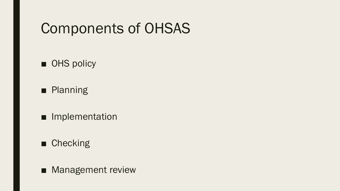# Components of OHSAS

■ OHS policy

■ Planning

■ Implementation

■ Checking

■ Management review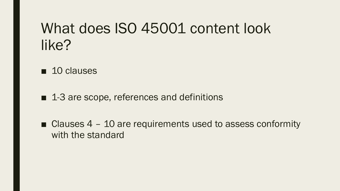# What does ISO 45001 content look like?

- 10 clauses
- 1-3 are scope, references and definitions
- Clauses  $4 10$  are requirements used to assess conformity with the standard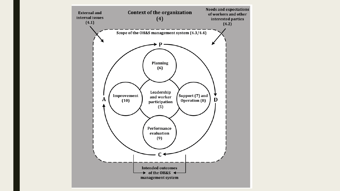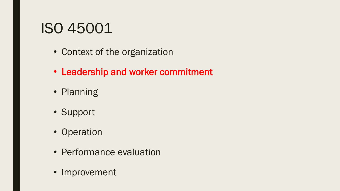# ISO 45001

- Context of the organization
- Leadership and worker commitment
- Planning
- Support
- Operation
- Performance evaluation
- Improvement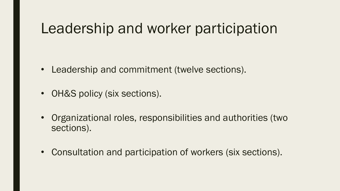### Leadership and worker participation

- Leadership and commitment (twelve sections).
- OH&S policy (six sections).
- Organizational roles, responsibilities and authorities (two sections).
- Consultation and participation of workers (six sections).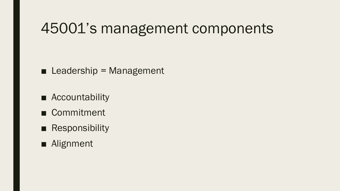### 45001's management components

 $\blacksquare$  Leadership = Management

- Accountability
- Commitment
- Responsibility
- Alignment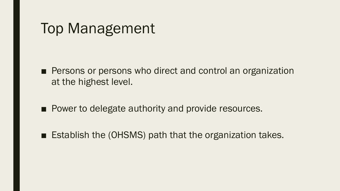#### Top Management

- Persons or persons who direct and control an organization at the highest level.
- Power to delegate authority and provide resources.
- Establish the (OHSMS) path that the organization takes.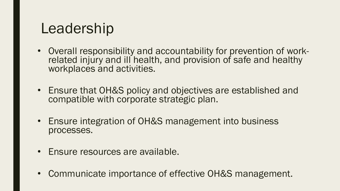# Leadership

- Overall responsibility and accountability for prevention of workrelated injury and ill health, and provision of safe and healthy workplaces and activities.
- Ensure that OH&S policy and objectives are established and compatible with corporate strategic plan.
- Ensure integration of OH&S management into business processes.
- Ensure resources are available.
- Communicate importance of effective OH&S management.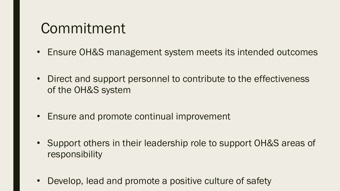# Commitment

- Ensure OH&S management system meets its intended outcomes
- Direct and support personnel to contribute to the effectiveness of the OH&S system
- Ensure and promote continual improvement
- Support others in their leadership role to support OH&S areas of responsibility
- Develop, lead and promote a positive culture of safety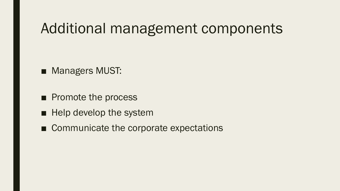#### Additional management components

- Managers MUST:
- Promote the process
- Help develop the system
- Communicate the corporate expectations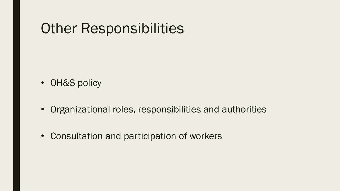### Other Responsibilities

- OH&S policy
- Organizational roles, responsibilities and authorities
- Consultation and participation of workers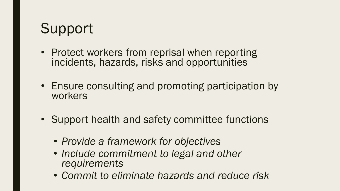# Support

- Protect workers from reprisal when reporting incidents, hazards, risks and opportunities
- Ensure consulting and promoting participation by workers
- Support health and safety committee functions
	- *Provide a framework for objectives*
	- *Include commitment to legal and other requirements*
	- *Commit to eliminate hazards and reduce risk*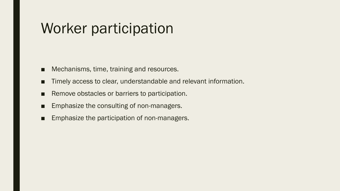# Worker participation

- Mechanisms, time, training and resources.
- Timely access to clear, understandable and relevant information.
- Remove obstacles or barriers to participation.
- Emphasize the consulting of non-managers.
- Emphasize the participation of non-managers.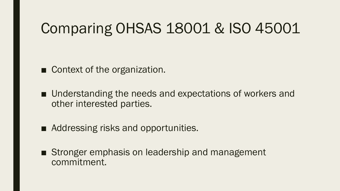# Comparing OHSAS 18001 & ISO 45001

■ Context of the organization.

■ Understanding the needs and expectations of workers and other interested parties.

■ Addressing risks and opportunities.

■ Stronger emphasis on leadership and management commitment.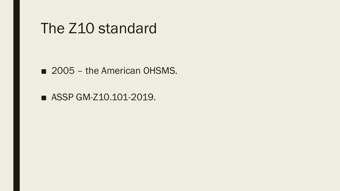#### The Z10 standard

■ 2005 – the American OHSMS.

■ ASSP GM-Z10.101-2019.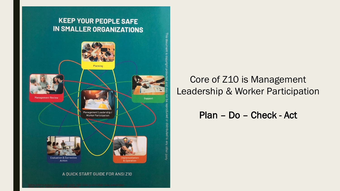#### **KEEP YOUR PEOPLE SAFE IN SMALLER ORGANIZATIONS**



#### Core of Z10 is Management Leadership & Worker Participation

#### Plan – Do – Check - Act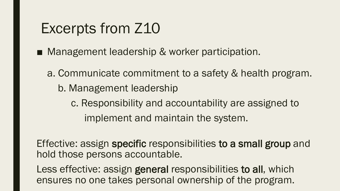# Excerpts from Z10

- Management leadership & worker participation.
	- a. Communicate commitment to a safety & health program. b. Management leadership c. Responsibility and accountability are assigned to implement and maintain the system.

Effective: assign specific responsibilities to a small group and hold those persons accountable.

Less effective: assign general responsibilities to all, which ensures no one takes personal ownership of the program.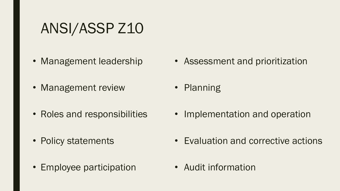# ANSI/ASSP Z10

- Management leadership
- Management review
- Roles and responsibilities
- Policy statements
- Employee participation
- Assessment and prioritization
- Planning
- Implementation and operation
- Evaluation and corrective actions
- Audit information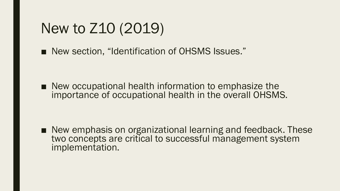# New to Z10 (2019)

■ New section, "Identification of OHSMS Issues."

■ New occupational health information to emphasize the importance of occupational health in the overall OHSMS.

■ New emphasis on organizational learning and feedback. These two concepts are critical to successful management system implementation.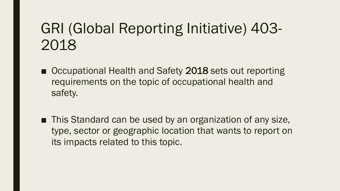# GRI (Global Reporting Initiative) 403- 2018

- Occupational Health and Safety 2018 sets out reporting requirements on the topic of occupational health and safety.
- This Standard can be used by an organization of any size, type, sector or geographic location that wants to report on its impacts related to this topic.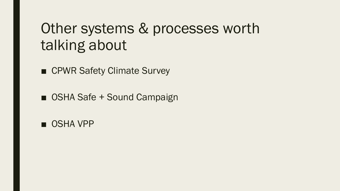# Other systems & processes worth talking about

■ CPWR Safety Climate Survey

■ OSHA Safe + Sound Campaign

■ OSHA VPP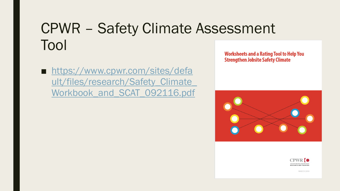# CPWR – Safety Climate Assessment Tool

■ https://www.cpwr.com/sites/defa ult/files/research/Safety\_Climate Workbook and SCAT 092116.pdf **Worksheets and a Rating Tool to Help You Strengthen Jobsite Safety Climate** 





**MARCH 2018**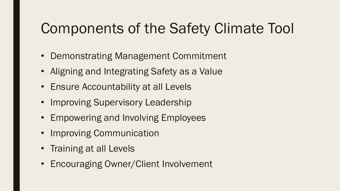# Components of the Safety Climate Tool

- Demonstrating Management Commitment
- Aligning and Integrating Safety as a Value
- Ensure Accountability at all Levels
- Improving Supervisory Leadership
- Empowering and Involving Employees
- Improving Communication
- Training at all Levels
- Encouraging Owner/Client Involvement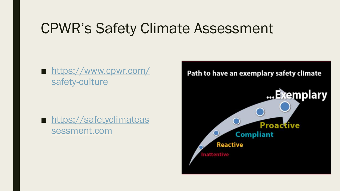# CPWR's Safety Climate Assessment

■ [https://www.cpwr.com/](https://www.cpwr.com/safety-culture) safety-culture

■ [https://safetyclimateas](https://safetyclimateassessment.com/) sessment.com

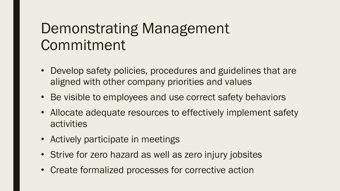# Demonstrating Management Commitment

- Develop safety policies, procedures and guidelines that are aligned with other company priorities and values
- Be visible to employees and use correct safety behaviors
- Allocate adequate resources to effectively implement safety activities
- Actively participate in meetings
- Strive for zero hazard as well as zero injury jobsites
- Create formalized processes for corrective action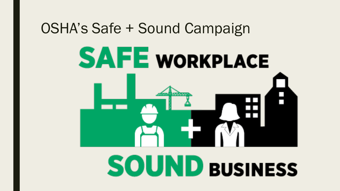#### OSHA's Safe + Sound Campaign

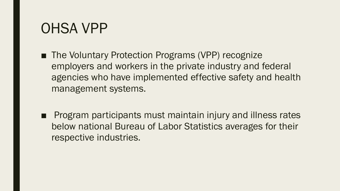#### OHSA VPP

- The Voluntary Protection Programs (VPP) recognize employers and workers in the private industry and federal agencies who have implemented effective safety and health management systems.
- Program participants must maintain injury and illness rates below national Bureau of Labor Statistics averages for their respective industries.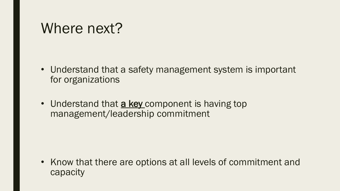#### Where next?

- Understand that a safety management system is important for organizations
- Understand that **a key** component is having top management/leadership commitment

• Know that there are options at all levels of commitment and capacity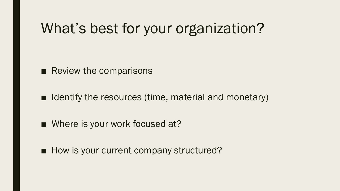# What's best for your organization?

■ Review the comparisons

■ Identify the resources (time, material and monetary)

■ Where is your work focused at?

■ How is your current company structured?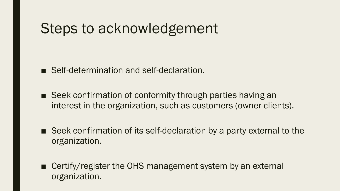## Steps to acknowledgement

- Self-determination and self-declaration.
- Seek confirmation of conformity through parties having an interest in the organization, such as customers (owner-clients).
- Seek confirmation of its self-declaration by a party external to the organization.
- Certify/register the OHS management system by an external organization.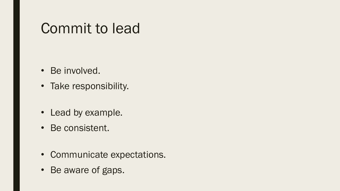### Commit to lead

- Be involved.
- Take responsibility.
- Lead by example.
- Be consistent.
- Communicate expectations.
- Be aware of gaps.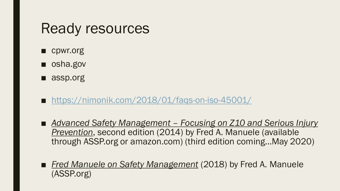#### Ready resources

- cpwr.org
- osha.gov
- assp.org
- <https://nimonik.com/2018/01/faqs-on-iso-45001/>
- *Advanced Safety Management Focusing on Z10 and Serious Injury Prevention*, second edition (2014) by Fred A. Manuele (available through ASSP.org or amazon.com) (third edition coming…May 2020)
- *Fred Manuele on Safety Management* (2018) by Fred A. Manuele (ASSP.org)